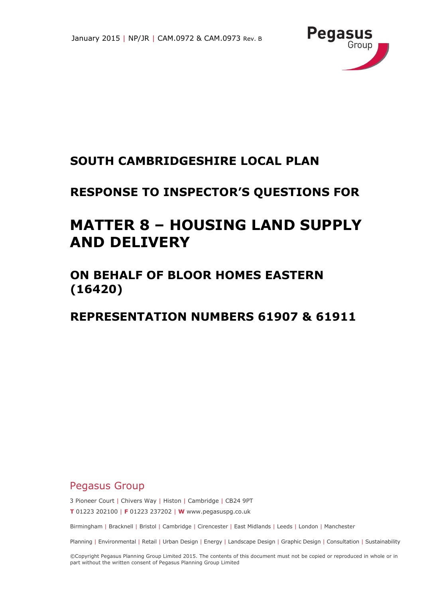

# **SOUTH CAMBRIDGESHIRE LOCAL PLAN**

# **RESPONSE TO INSPECTOR'S QUESTIONS FOR**

# **MATTER 8 – HOUSING LAND SUPPLY AND DELIVERY**

### **ON BEHALF OF BLOOR HOMES EASTERN (16420)**

### **REPRESENTATION NUMBERS 61907 & 61911**

### Pegasus Group

3 Pioneer Court | Chivers Way | Histon | Cambridge | CB24 9PT

**T** 01223 202100 | **F** 01223 237202 | **W** www.pegasuspg.co.uk

Birmingham | Bracknell | Bristol | Cambridge | Cirencester | East Midlands | Leeds | London | Manchester

Planning | Environmental | Retail | Urban Design | Energy | Landscape Design | Graphic Design | Consultation | Sustainability

©Copyright Pegasus Planning Group Limited 2015. The contents of this document must not be copied or reproduced in whole or in part without the written consent of Pegasus Planning Group Limited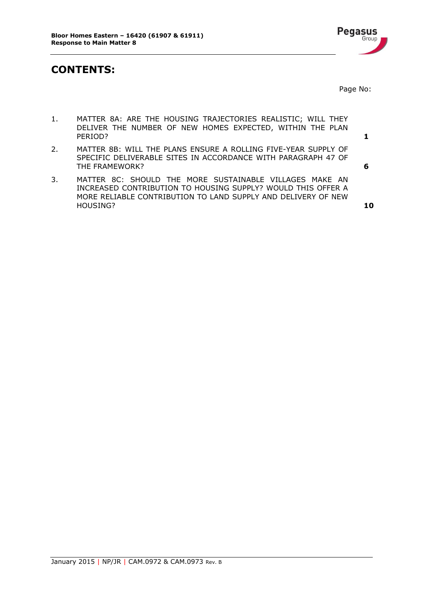

### **CONTENTS:**

Page No:

- 1. [MATTER 8A: ARE THE HOUSING TRAJECTORIES](#page-2-0) REALISTIC; WILL THEY [DELIVER THE NUMBER OF NEW HOMES EXPECTED, WITHIN THE PLAN](#page-2-0)  [PERIOD?](#page-2-0) **1**
- 2. MATTER 8B: WILL THE [PLANS ENSURE A ROLLING FIVE-YEAR SUPPLY OF](#page-7-0)  SPECIFIC DELIVERABLE [SITES IN ACCORDANCE WITH PARAGRAPH 47 OF](#page-7-0) [THE FRAMEWORK?](#page-7-0) **6**
- 3. [MATTER 8C: SHOULD THE MORE SUSTAINABLE VILLAGES MAKE AN](#page-11-0)  [INCREASED CONTRIBUTION TO HOUSING SUPPLY? WOULD THIS OFFER A](#page-11-0) [MORE RELIABLE CONTRIBUTION TO LAND SUPPLY AND DELIVERY OF NEW](#page-11-0)  [HOUSING?](#page-11-0) **10**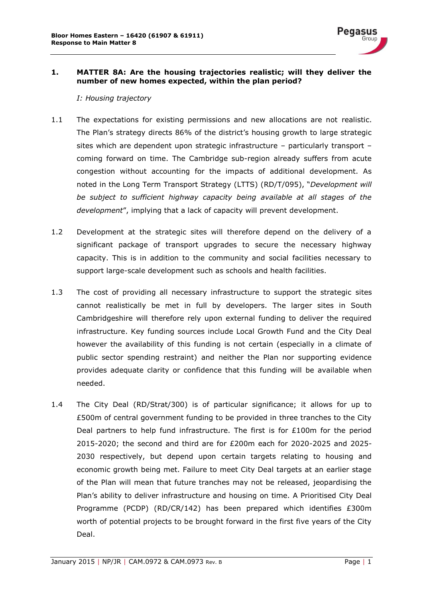

#### <span id="page-2-0"></span>**1. MATTER 8A: Are the housing trajectories realistic; will they deliver the number of new homes expected, within the plan period?**

*I: Housing trajectory*

- 1.1 The expectations for existing permissions and new allocations are not realistic. The Plan's strategy directs 86% of the district's housing growth to large strategic sites which are dependent upon strategic infrastructure – particularly transport – coming forward on time. The Cambridge sub-region already suffers from acute congestion without accounting for the impacts of additional development. As noted in the Long Term Transport Strategy (LTTS) (RD/T/095), "*Development will be subject to sufficient highway capacity being available at all stages of the development*", implying that a lack of capacity will prevent development.
- 1.2 Development at the strategic sites will therefore depend on the delivery of a significant package of transport upgrades to secure the necessary highway capacity. This is in addition to the community and social facilities necessary to support large-scale development such as schools and health facilities.
- 1.3 The cost of providing all necessary infrastructure to support the strategic sites cannot realistically be met in full by developers. The larger sites in South Cambridgeshire will therefore rely upon external funding to deliver the required infrastructure. Key funding sources include Local Growth Fund and the City Deal however the availability of this funding is not certain (especially in a climate of public sector spending restraint) and neither the Plan nor supporting evidence provides adequate clarity or confidence that this funding will be available when needed.
- 1.4 The City Deal (RD/Strat/300) is of particular significance; it allows for up to £500m of central government funding to be provided in three tranches to the City Deal partners to help fund infrastructure. The first is for £100m for the period 2015-2020; the second and third are for £200m each for 2020-2025 and 2025- 2030 respectively, but depend upon certain targets relating to housing and economic growth being met. Failure to meet City Deal targets at an earlier stage of the Plan will mean that future tranches may not be released, jeopardising the Plan's ability to deliver infrastructure and housing on time. A Prioritised City Deal Programme (PCDP) (RD/CR/142) has been prepared which identifies £300m worth of potential projects to be brought forward in the first five years of the City Deal.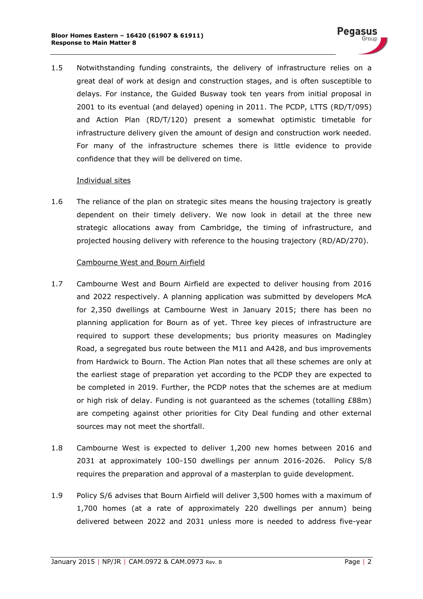1.5 Notwithstanding funding constraints, the delivery of infrastructure relies on a great deal of work at design and construction stages, and is often susceptible to delays. For instance, the Guided Busway took ten years from initial proposal in 2001 to its eventual (and delayed) opening in 2011. The PCDP, LTTS (RD/T/095) and Action Plan (RD/T/120) present a somewhat optimistic timetable for infrastructure delivery given the amount of design and construction work needed. For many of the infrastructure schemes there is little evidence to provide confidence that they will be delivered on time.

#### Individual sites

1.6 The reliance of the plan on strategic sites means the housing trajectory is greatly dependent on their timely delivery. We now look in detail at the three new strategic allocations away from Cambridge, the timing of infrastructure, and projected housing delivery with reference to the housing trajectory (RD/AD/270).

#### Cambourne West and Bourn Airfield

- 1.7 Cambourne West and Bourn Airfield are expected to deliver housing from 2016 and 2022 respectively. A planning application was submitted by developers McA for 2,350 dwellings at Cambourne West in January 2015; there has been no planning application for Bourn as of yet. Three key pieces of infrastructure are required to support these developments; bus priority measures on Madingley Road, a segregated bus route between the M11 and A428, and bus improvements from Hardwick to Bourn. The Action Plan notes that all these schemes are only at the earliest stage of preparation yet according to the PCDP they are expected to be completed in 2019. Further, the PCDP notes that the schemes are at medium or high risk of delay. Funding is not guaranteed as the schemes (totalling £88m) are competing against other priorities for City Deal funding and other external sources may not meet the shortfall.
- 1.8 Cambourne West is expected to deliver 1,200 new homes between 2016 and 2031 at approximately 100-150 dwellings per annum 2016-2026. Policy S/8 requires the preparation and approval of a masterplan to guide development.
- 1.9 Policy S/6 advises that Bourn Airfield will deliver 3,500 homes with a maximum of 1,700 homes (at a rate of approximately 220 dwellings per annum) being delivered between 2022 and 2031 unless more is needed to address five-year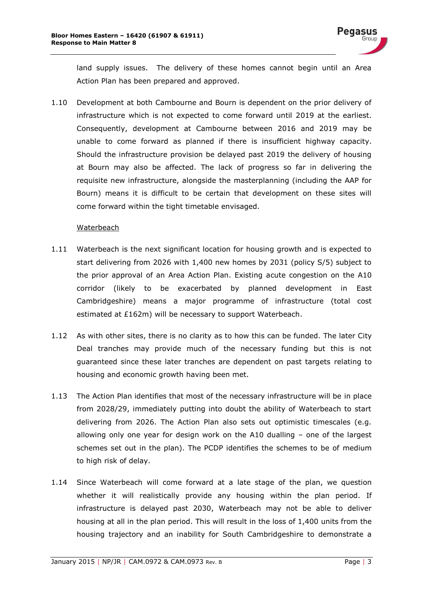land supply issues. The delivery of these homes cannot begin until an Area Action Plan has been prepared and approved.

1.10 Development at both Cambourne and Bourn is dependent on the prior delivery of infrastructure which is not expected to come forward until 2019 at the earliest. Consequently, development at Cambourne between 2016 and 2019 may be unable to come forward as planned if there is insufficient highway capacity. Should the infrastructure provision be delayed past 2019 the delivery of housing at Bourn may also be affected. The lack of progress so far in delivering the requisite new infrastructure, alongside the masterplanning (including the AAP for Bourn) means it is difficult to be certain that development on these sites will come forward within the tight timetable envisaged.

#### **Waterbeach**

- 1.11 Waterbeach is the next significant location for housing growth and is expected to start delivering from 2026 with 1,400 new homes by 2031 (policy S/5) subject to the prior approval of an Area Action Plan. Existing acute congestion on the A10 corridor (likely to be exacerbated by planned development in East Cambridgeshire) means a major programme of infrastructure (total cost estimated at £162m) will be necessary to support Waterbeach.
- 1.12 As with other sites, there is no clarity as to how this can be funded. The later City Deal tranches may provide much of the necessary funding but this is not guaranteed since these later tranches are dependent on past targets relating to housing and economic growth having been met.
- 1.13 The Action Plan identifies that most of the necessary infrastructure will be in place from 2028/29, immediately putting into doubt the ability of Waterbeach to start delivering from 2026. The Action Plan also sets out optimistic timescales (e.g. allowing only one year for design work on the A10 dualling – one of the largest schemes set out in the plan). The PCDP identifies the schemes to be of medium to high risk of delay.
- 1.14 Since Waterbeach will come forward at a late stage of the plan, we question whether it will realistically provide any housing within the plan period. If infrastructure is delayed past 2030, Waterbeach may not be able to deliver housing at all in the plan period. This will result in the loss of 1,400 units from the housing trajectory and an inability for South Cambridgeshire to demonstrate a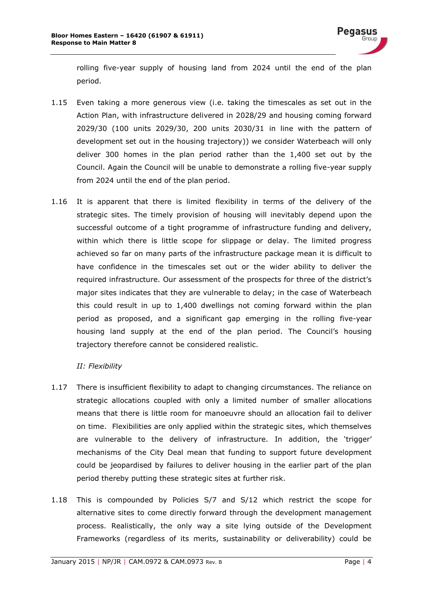rolling five-year supply of housing land from 2024 until the end of the plan period.

- 1.15 Even taking a more generous view (i.e. taking the timescales as set out in the Action Plan, with infrastructure delivered in 2028/29 and housing coming forward 2029/30 (100 units 2029/30, 200 units 2030/31 in line with the pattern of development set out in the housing trajectory)) we consider Waterbeach will only deliver 300 homes in the plan period rather than the 1,400 set out by the Council. Again the Council will be unable to demonstrate a rolling five-year supply from 2024 until the end of the plan period.
- 1.16 It is apparent that there is limited flexibility in terms of the delivery of the strategic sites. The timely provision of housing will inevitably depend upon the successful outcome of a tight programme of infrastructure funding and delivery, within which there is little scope for slippage or delay. The limited progress achieved so far on many parts of the infrastructure package mean it is difficult to have confidence in the timescales set out or the wider ability to deliver the required infrastructure. Our assessment of the prospects for three of the district's major sites indicates that they are vulnerable to delay; in the case of Waterbeach this could result in up to 1,400 dwellings not coming forward within the plan period as proposed, and a significant gap emerging in the rolling five-year housing land supply at the end of the plan period. The Council's housing trajectory therefore cannot be considered realistic.

#### *II: Flexibility*

- 1.17 There is insufficient flexibility to adapt to changing circumstances. The reliance on strategic allocations coupled with only a limited number of smaller allocations means that there is little room for manoeuvre should an allocation fail to deliver on time. Flexibilities are only applied within the strategic sites, which themselves are vulnerable to the delivery of infrastructure. In addition, the 'trigger' mechanisms of the City Deal mean that funding to support future development could be jeopardised by failures to deliver housing in the earlier part of the plan period thereby putting these strategic sites at further risk.
- 1.18 This is compounded by Policies S/7 and S/12 which restrict the scope for alternative sites to come directly forward through the development management process. Realistically, the only way a site lying outside of the Development Frameworks (regardless of its merits, sustainability or deliverability) could be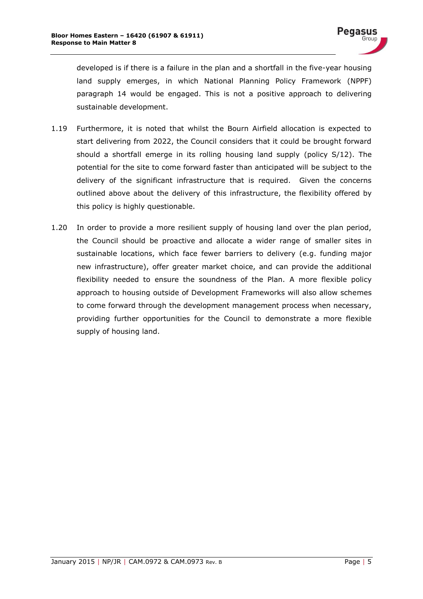developed is if there is a failure in the plan and a shortfall in the five-year housing land supply emerges, in which National Planning Policy Framework (NPPF) paragraph 14 would be engaged. This is not a positive approach to delivering sustainable development.

- 1.19 Furthermore, it is noted that whilst the Bourn Airfield allocation is expected to start delivering from 2022, the Council considers that it could be brought forward should a shortfall emerge in its rolling housing land supply (policy S/12). The potential for the site to come forward faster than anticipated will be subject to the delivery of the significant infrastructure that is required. Given the concerns outlined above about the delivery of this infrastructure, the flexibility offered by this policy is highly questionable.
- 1.20 In order to provide a more resilient supply of housing land over the plan period, the Council should be proactive and allocate a wider range of smaller sites in sustainable locations, which face fewer barriers to delivery (e.g. funding major new infrastructure), offer greater market choice, and can provide the additional flexibility needed to ensure the soundness of the Plan. A more flexible policy approach to housing outside of Development Frameworks will also allow schemes to come forward through the development management process when necessary, providing further opportunities for the Council to demonstrate a more flexible supply of housing land.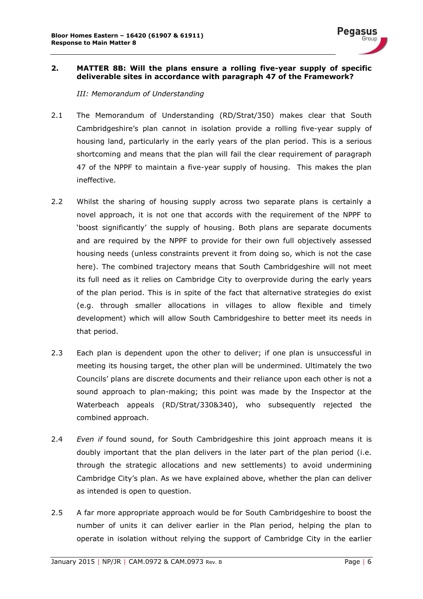

#### <span id="page-7-0"></span>**2. MATTER 8B: Will the plans ensure a rolling five-year supply of specific deliverable sites in accordance with paragraph 47 of the Framework?**

*III: Memorandum of Understanding*

- 2.1 The Memorandum of Understanding (RD/Strat/350) makes clear that South Cambridgeshire's plan cannot in isolation provide a rolling five-year supply of housing land, particularly in the early years of the plan period. This is a serious shortcoming and means that the plan will fail the clear requirement of paragraph 47 of the NPPF to maintain a five-year supply of housing. This makes the plan ineffective.
- 2.2 Whilst the sharing of housing supply across two separate plans is certainly a novel approach, it is not one that accords with the requirement of the NPPF to 'boost significantly' the supply of housing. Both plans are separate documents and are required by the NPPF to provide for their own full objectively assessed housing needs (unless constraints prevent it from doing so, which is not the case here). The combined trajectory means that South Cambridgeshire will not meet its full need as it relies on Cambridge City to overprovide during the early years of the plan period. This is in spite of the fact that alternative strategies do exist (e.g. through smaller allocations in villages to allow flexible and timely development) which will allow South Cambridgeshire to better meet its needs in that period.
- 2.3 Each plan is dependent upon the other to deliver; if one plan is unsuccessful in meeting its housing target, the other plan will be undermined. Ultimately the two Councils' plans are discrete documents and their reliance upon each other is not a sound approach to plan-making; this point was made by the Inspector at the Waterbeach appeals (RD/Strat/330&340), who subsequently rejected the combined approach.
- 2.4 *Even if* found sound, for South Cambridgeshire this joint approach means it is doubly important that the plan delivers in the later part of the plan period (i.e. through the strategic allocations and new settlements) to avoid undermining Cambridge City's plan. As we have explained above, whether the plan can deliver as intended is open to question.
- 2.5 A far more appropriate approach would be for South Cambridgeshire to boost the number of units it can deliver earlier in the Plan period, helping the plan to operate in isolation without relying the support of Cambridge City in the earlier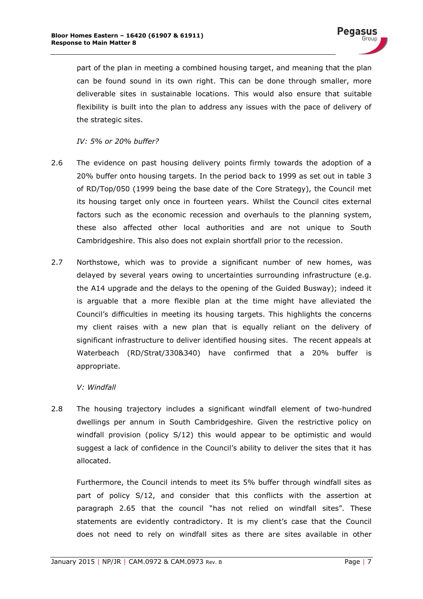part of the plan in meeting a combined housing target, and meaning that the plan can be found sound in its own right. This can be done through smaller, more deliverable sites in sustainable locations. This would also ensure that suitable flexibility is built into the plan to address any issues with the pace of delivery of the strategic sites.

*IV: 5% or 20% buffer?*

- 2.6 The evidence on past housing delivery points firmly towards the adoption of a 20% buffer onto housing targets. In the period back to 1999 as set out in table 3 of RD/Top/050 (1999 being the base date of the Core Strategy), the Council met its housing target only once in fourteen years. Whilst the Council cites external factors such as the economic recession and overhauls to the planning system, these also affected other local authorities and are not unique to South Cambridgeshire. This also does not explain shortfall prior to the recession.
- 2.7 Northstowe, which was to provide a significant number of new homes, was delayed by several years owing to uncertainties surrounding infrastructure (e.g. the A14 upgrade and the delays to the opening of the Guided Busway); indeed it is arguable that a more flexible plan at the time might have alleviated the Council's difficulties in meeting its housing targets. This highlights the concerns my client raises with a new plan that is equally reliant on the delivery of significant infrastructure to deliver identified housing sites. The recent appeals at Waterbeach (RD/Strat/330&340) have confirmed that a 20% buffer is appropriate.

#### *V: Windfall*

2.8 The housing trajectory includes a significant windfall element of two-hundred dwellings per annum in South Cambridgeshire. Given the restrictive policy on windfall provision (policy S/12) this would appear to be optimistic and would suggest a lack of confidence in the Council's ability to deliver the sites that it has allocated.

Furthermore, the Council intends to meet its 5% buffer through windfall sites as part of policy S/12, and consider that this conflicts with the assertion at paragraph 2.65 that the council "has not relied on windfall sites". These statements are evidently contradictory. It is my client's case that the Council does not need to rely on windfall sites as there are sites available in other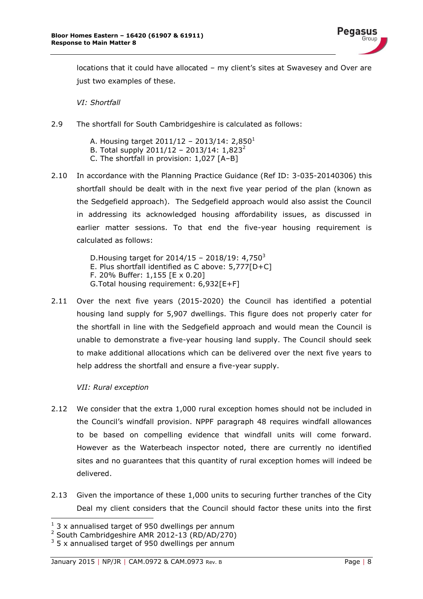

locations that it could have allocated – my client's sites at Swavesey and Over are just two examples of these.

*VI: Shortfall*

- 2.9 The shortfall for South Cambridgeshire is calculated as follows:
	- A. Housing target  $2011/12 2013/14$ : 2,850<sup>1</sup>
	- B. Total supply 2011/12 2013/14:  $1,823^2$
	- C. The shortfall in provision: 1,027 [A–B]
- 2.10 In accordance with the Planning Practice Guidance (Ref ID: 3-035-20140306) this shortfall should be dealt with in the next five year period of the plan (known as the Sedgefield approach). The Sedgefield approach would also assist the Council in addressing its acknowledged housing affordability issues, as discussed in earlier matter sessions. To that end the five-year housing requirement is calculated as follows:

D. Housing target for  $2014/15 - 2018/19$ : 4,750<sup>3</sup> E. Plus shortfall identified as C above: 5,777[D+C] F. 20% Buffer: 1,155 [E x 0.20] G.Total housing requirement: 6,932[E+F]

2.11 Over the next five years (2015-2020) the Council has identified a potential housing land supply for 5,907 dwellings. This figure does not properly cater for the shortfall in line with the Sedgefield approach and would mean the Council is unable to demonstrate a five-year housing land supply. The Council should seek to make additional allocations which can be delivered over the next five years to help address the shortfall and ensure a five-year supply.

*VII: Rural exception*

-

- 2.12 We consider that the extra 1,000 rural exception homes should not be included in the Council's windfall provision. NPPF paragraph 48 requires windfall allowances to be based on compelling evidence that windfall units will come forward. However as the Waterbeach inspector noted, there are currently no identified sites and no guarantees that this quantity of rural exception homes will indeed be delivered.
- 2.13 Given the importance of these 1,000 units to securing further tranches of the City Deal my client considers that the Council should factor these units into the first

 $1$  3 x annualised target of 950 dwellings per annum

<sup>2</sup> South Cambridgeshire AMR 2012-13 (RD/AD/270)

 $3$  5 x annualised target of 950 dwellings per annum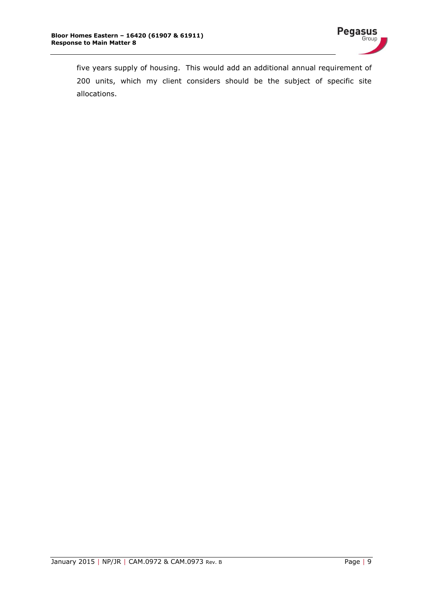

five years supply of housing. This would add an additional annual requirement of 200 units, which my client considers should be the subject of specific site allocations.